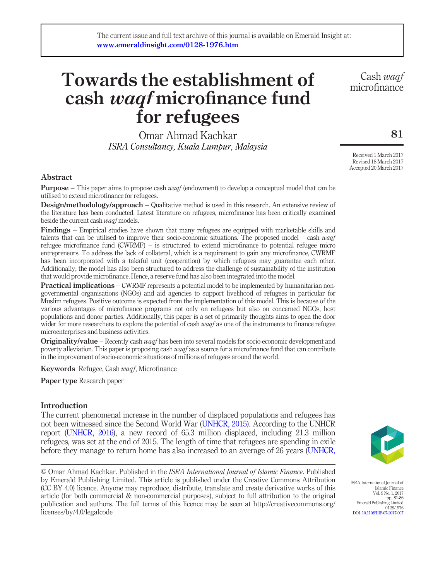# Towards the establishment of cash waqf microfinance fund for refugees

Omar Ahmad Kachkar ISRA Consultancy, Kuala Lumpur, Malaysia

Cash waqf microfinance

81

Received 1 March 2017 Revised 18 March 2017 Accepted 20 March 2017

## Abstract

**Purpose** – This paper aims to propose cash *waaf* (endowment) to develop a conceptual model that can be utilised to extend microfinance for refugees.

Design/methodology/approach – Qualitative method is used in this research. An extensive review of the literature has been conducted. Latest literature on refugees, microfinance has been critically examined beside the current cash waqf models.

Findings – Empirical studies have shown that many refugees are equipped with marketable skills and talents that can be utilised to improve their socio-economic situations. The proposed model – cash wagf refugee microfinance fund (CWRMF) – is structured to extend microfinance to potential refugee micro entrepreneurs. To address the lack of collateral, which is a requirement to gain any microfinance, CWRMF has been incorporated with a takaful unit (cooperation) by which refugees may guarantee each other. Additionally, the model has also been structured to address the challenge of sustainability of the institution that would provide microfinance. Hence, a reserve fund has also been integrated into the model.

**Practical implications** – CWRMF represents a potential model to be implemented by humanitarian nongovernmental organisations (NGOs) and aid agencies to support livelihood of refugees in particular for Muslim refugees. Positive outcome is expected from the implementation of this model. This is because of the various advantages of microfinance programs not only on refugees but also on concerned NGOs, host populations and donor parties. Additionally, this paper is a set of primarily thoughts aims to open the door wider for more researchers to explore the potential of cash waqf as one of the instruments to finance refugee microenterprises and business activities.

**Originality/value** – Recently cash *waqf* has been into several models for socio-economic development and poverty alleviation. This paper is proposing cash waqf as a source for a microfinance fund that can contribute in the improvement of socio-economic situations of millions of refugees around the world.

Keywords Refugee, Cash waqf, Microfinance

Paper type Research paper

## **Introduction**

The current phenomenal increase in the number of displaced populations and refugees has not been witnessed since the Second World War ([UNHCR, 2015](#page-5-0)). According to the UNHCR report [\(UNHCR, 2016\)](#page-5-1), a new record of 65.3 million displaced, including 21.3 million refugees, was set at the end of 2015. The length of time that refugees are spending in exile before they manage to return home has also increased to an average of 26 years ([UNHCR,](#page-5-1)

© Omar Ahmad Kachkar. Published in the *ISRA International Journal of Islamic Finance*. Published by Emerald Publishing Limited. This article is published under the Creative Commons Attribution (CC BY 4.0) licence. Anyone may reproduce, distribute, translate and create derivative works of this article (for both commercial & non-commercial purposes), subject to full attribution to the original publication and authors. The full terms of this licence may be seen at http://creativecommons.org/ licenses/by/4.0/legalcode



ISRA International Journal of Islamic Finance Vol. 9 No. 1, 2017 pp. 81-86 Emerald Publishing Limited 0128-1976 0120-1310<br>DOI [10.1108/IJIF-07-2017-007](http://dx.doi.org/10.1108/IJIF-07-2017-007)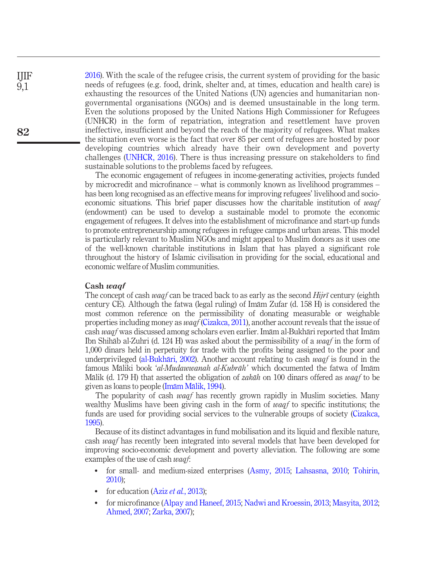[2016](#page-5-1)). With the scale of the refugee crisis, the current system of providing for the basic needs of refugees (e.g. food, drink, shelter and, at times, education and health care) is exhausting the resources of the United Nations (UN) agencies and humanitarian nongovernmental organisations (NGOs) and is deemed unsustainable in the long term. Even the solutions proposed by the United Nations High Commissioner for Refugees (UNHCR) in the form of repatriation, integration and resettlement have proven ineffective, insufficient and beyond the reach of the majority of refugees. What makes the situation even worse is the fact that over 85 per cent of refugees are hosted by poor developing countries which already have their own development and poverty challenges ([UNHCR, 2016](#page-5-1)). There is thus increasing pressure on stakeholders to find sustainable solutions to the problems faced by refugees.

The economic engagement of refugees in income-generating activities, projects funded by microcredit and microfinance – what is commonly known as livelihood programmes – has been long recognised as an effective means for improving refugees' livelihood and socioeconomic situations. This brief paper discusses how the charitable institution of waqf (endowment) can be used to develop a sustainable model to promote the economic engagement of refugees. It delves into the establishment of microfinance and start-up funds to promote entrepreneurship among refugees in refugee camps and urban areas. This model is particularly relevant to Muslim NGOs and might appeal to Muslim donors as it uses one of the well-known charitable institutions in Islam that has played a significant role throughout the history of Islamic civilisation in providing for the social, educational and economic welfare of Muslim communities.

#### Cash waaf

The concept of cash *waqf* can be traced back to as early as the second  $Hij\tau\bar{\tau}$  century (eighth century CE). Although the fatwa (legal ruling) of Imām Zufar (d. 158 H) is considered the most common reference on the permissibility of donating measurable or weighable properties including money as *waaf* ([Cizakca, 2011\)](#page-4-0), another account reveals that the issue of cash waqf was discussed among scholars even earlier. Imām al-Bukhāri reported that Imām Ibn Shihāb al-Zuhri (d. 124 H) was asked about the permissibility of a *waqf* in the form of 1,000 dinars held in perpetuity for trade with the profits being assigned to the poor and underprivileged ([al-Bukh](#page-4-1)āri, 2002). Another account relating to cash  $w a q f$  is found in the famous Māliki book 'al-Mudawwanah al-Kubrāh' which documented the fatwa of Imām Mālik (d. 179 H) that asserted the obligation of *zakāh* on 100 dinars offered as *waqf* to be given as loans to people (Imām Mā[lik, 1994](#page-4-2)).

The popularity of cash waqf has recently grown rapidly in Muslim societies. Many wealthy Muslims have been giving cash in the form of *waqf* to specific institutions; the funds are used for providing social services to the vulnerable groups of society ([Cizakca,](#page-4-3) [1995](#page-4-3)).

Because of its distinct advantages in fund mobilisation and its liquid and flexible nature, cash waaf has recently been integrated into several models that have been developed for improving socio-economic development and poverty alleviation. The following are some examples of the use of cash waqf:

- for small- and medium-sized enterprises ([Asmy, 2015](#page-4-4); [Lahsasna, 2010](#page-4-5); [Tohirin,](#page-5-2) [2010](#page-5-2));
- for education (Aziz *et al.*[, 2013\)](#page-4-6);
- for microfinance ([Alpay and Haneef, 2015;](#page-4-7) [Nadwi and Kroessin, 2013;](#page-4-8) [Masyita, 2012;](#page-4-9) [Ahmed, 2007;](#page-4-10) [Zarka, 2007](#page-5-3));

IJIF 9,1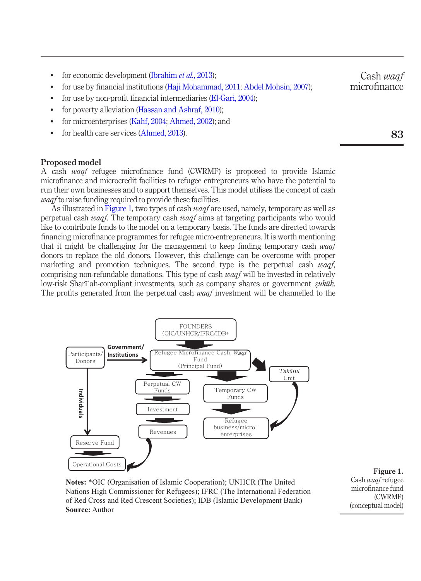- for economic development ([Ibrahim](#page-4-11) et al., 2013);
- for use by financial institutions ([Haji Mohammad, 2011;](#page-4-12) [Abdel Mohsin, 2007\)](#page-4-13);
- for use by non-profit financial intermediaries ([El-Gari, 2004](#page-4-14));
- for poverty alleviation [\(Hassan and Ashraf, 2010](#page-4-15));
- for microenterprises [\(Kahf, 2004;](#page-4-16) [Ahmed, 2002\)](#page-4-17); and
- for health care services ([Ahmed, 2013\)](#page-4-18).

## Proposed model

A cash waqf refugee microfinance fund (CWRMF) is proposed to provide Islamic microfinance and microcredit facilities to refugee entrepreneurs who have the potential to run their own businesses and to support themselves. This model utilises the concept of cash waqf to raise funding required to provide these facilities.

As illustrated in [Figure 1,](#page-2-0) two types of cash *waqf* are used, namely, temporary as well as perpetual cash waqf. The temporary cash waqf aims at targeting participants who would like to contribute funds to the model on a temporary basis. The funds are directed towards financing microfinance programmes for refugee micro-entrepreneurs. It is worth mentioning that it might be challenging for the management to keep finding temporary cash waqf donors to replace the old donors. However, this challenge can be overcome with proper marketing and promotion techniques. The second type is the perpetual cash waqf, comprising non-refundable donations. This type of cash waqf will be invested in relatively low-risk Sharī ah-compliant investments, such as company shares or government *sukūk*.<br>The profits generated from the perpetual cash *waaf* investment will be channelled to the The profits generated from the perpetual cash *waaf* investment will be channelled to the



**Notes:** \*OIC (Organisation of Islamic Cooperation); UNHCR (The United Nations High Commissioner for Refugees); IFRC (The International Federation of Red Cross and Red Crescent Societies); IDB (Islamic Development Bank) **Source:** Author

<span id="page-2-0"></span>Figure 1. Cash waqf refugee microfinance fund (CWRMF) (conceptual model)

83

Cash waaf microfinance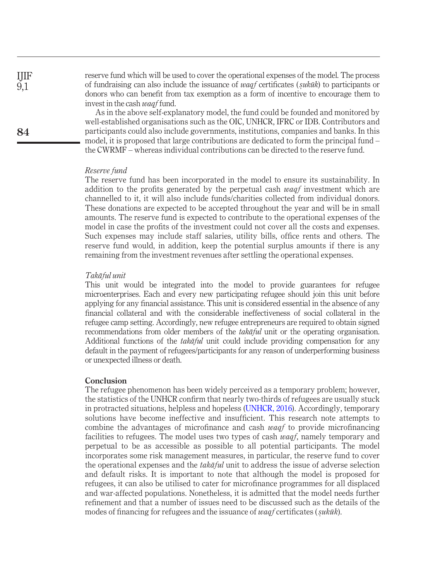reserve fund which will be used to cover the operational expenses of the model. The process of fundraising can also include the issuance of *waqf* certificates (*sukūk*) to participants or<br>donors who can benefit from tax exemption as a form of incentive to encourage them to donors who can benefit from tax exemption as a form of incentive to encourage them to invest in the cash waqf fund.

As in the above self-explanatory model, the fund could be founded and monitored by well-established organisations such as the OIC, UNHCR, IFRC or IDB. Contributors and participants could also include governments, institutions, companies and banks. In this model, it is proposed that large contributions are dedicated to form the principal fund – the CWRMF – whereas individual contributions can be directed to the reserve fund.

#### Reserve fund

The reserve fund has been incorporated in the model to ensure its sustainability. In addition to the profits generated by the perpetual cash  $w a q f$  investment which are channelled to it, it will also include funds/charities collected from individual donors. These donations are expected to be accepted throughout the year and will be in small amounts. The reserve fund is expected to contribute to the operational expenses of the model in case the profits of the investment could not cover all the costs and expenses. Such expenses may include staff salaries, utility bills, office rents and others. The reserve fund would, in addition, keep the potential surplus amounts if there is any remaining from the investment revenues after settling the operational expenses.

#### Takāful unit

This unit would be integrated into the model to provide guarantees for refugee microenterprises. Each and every new participating refugee should join this unit before applying for any financial assistance. This unit is considered essential in the absence of any financial collateral and with the considerable ineffectiveness of social collateral in the refugee camp setting. Accordingly, new refugee entrepreneurs are required to obtain signed recommendations from older members of the *takaful* unit or the operating organisation. Additional functions of the  $takāful$  unit could include providing compensation for any default in the payment of refugees/participants for any reason of underperforming business or unexpected illness or death.

## Conclusion

The refugee phenomenon has been widely perceived as a temporary problem; however, the statistics of the UNHCR confirm that nearly two-thirds of refugees are usually stuck in protracted situations, helpless and hopeless ([UNHCR, 2016](#page-5-1)). Accordingly, temporary solutions have become ineffective and insufficient. This research note attempts to combine the advantages of microfinance and cash *waaf* to provide microfinancing facilities to refugees. The model uses two types of cash *waqf*, namely temporary and perpetual to be as accessible as possible to all potential participants. The model incorporates some risk management measures, in particular, the reserve fund to cover the operational expenses and the  $takāful$  unit to address the issue of adverse selection and default risks. It is important to note that although the model is proposed for refugees, it can also be utilised to cater for microfinance programmes for all displaced and war-affected populations. Nonetheless, it is admitted that the model needs further refinement and that a number of issues need to be discussed such as the details of the modes of financing for refugees and the issuance of *waqf* certificates (*sukūk*).

IJIF 9,1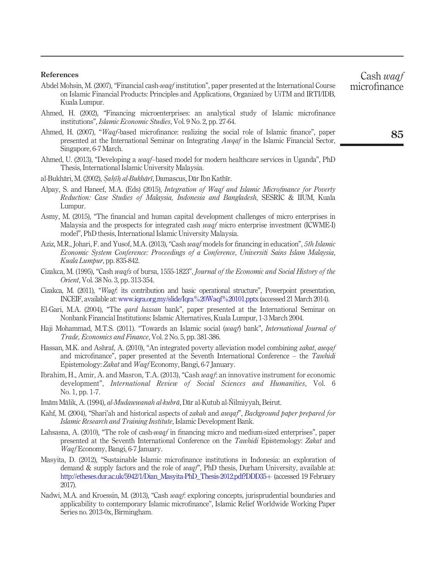#### References

<span id="page-4-13"></span>Abdel Mohsin, M. (2007), "Financial cash-waqf institution", paper presented at the International Course on Islamic Financial Products: Principles and Applications, Organized by UiTM and IRTI/IDB, Kuala Lumpur.

- <span id="page-4-17"></span>Ahmed, H. (2002), "Financing microenterprises: an analytical study of Islamic microfinance institutions", Islamic Economic Studies, Vol. 9 No. 2, pp. 27-64.
- <span id="page-4-10"></span>Ahmed, H. (2007), "Waqf-based microfinance: realizing the social role of Islamic finance", paper presented at the International Seminar on Integrating Awqaf in the Islamic Financial Sector, Singapore, 6-7 March.
- <span id="page-4-18"></span>Ahmed, U. (2013), "Developing a waqf–based model for modern healthcare services in Uganda", PhD Thesis, International Islamic University Malaysia.
- <span id="page-4-1"></span>al-Bukhāri, M. (2002), *Saḥīḥ al-Bukhārī,* Damascus, Dār Ibn Kathīr.<br>Al-
- <span id="page-4-7"></span>Alpay, S. and Haneef, M.A. (Eds) (2015), Integration of Waqf and Islamic Microfinance for Poverty Reduction: Case Studies of Malaysia, Indonesia and Bangladesh, SESRIC & IIUM, Kuala Lumpur.
- <span id="page-4-4"></span>Asmy, M. (2015), "The financial and human capital development challenges of micro enterprises in Malaysia and the prospects for integrated cash waqf micro enterprise investment (ICWME-I) model", PhD thesis, International Islamic University Malaysia.
- <span id="page-4-6"></span>Aziz, M.R., Johari, F. and Yusof, M.A. (2013), "Cash waqf models for financing in education". 5th Islamic Economic System Conference: Proceedings of a Conference, Universiti Sains Islam Malaysia, Kuala Lumpur, pp. 835-842.
- <span id="page-4-3"></span>Cizakca, M. (1995), "Cash waqfs of bursa, 1555-1823", Journal of the Economic and Social History of the Orient, Vol. 38 No. 3, pp. 313-354.
- <span id="page-4-0"></span>Cizakca, M. (2011), "Waqf: its contribution and basic operational structure", Powerpoint presentation, INCEIF, available at: [www.iqra.org.my/slide/Iqra%20Waqf%20101.pptx](http://www.iqra.org.my/slide/Iqra&hx0025;20Waqf&hx0025;20101.pptx) (accessed 21 March 2014).
- <span id="page-4-14"></span>El-Gari, M.A. (2004), "The *qard hassan* bank", paper presented at the International Seminar on Nonbank Financial Institutions: Islamic Alternatives, Kuala Lumpur, 1-3 March 2004.
- <span id="page-4-12"></span>Haji Mohammad, M.T.S. (2011). "Towards an Islamic social (waqf) bank", International Journal of Trade, Economics and Finance, Vol. 2 No. 5, pp. 381-386.
- <span id="page-4-15"></span>Hassan, M.K. and Ashraf, A. (2010), "An integrated poverty alleviation model combining *zakat, awqaf* and microfinance", paper presented at the Seventh International Conference – the Tawhidi Epistemology: Zakat and Waqf Economy, Bangi, 6-7 January.
- <span id="page-4-11"></span>Ibrahim, H., Amir, A. and Masron, T.A. (2013), "Cash waqf: an innovative instrument for economic development", International Review of Social Sciences and Humanities, Vol. 6 No. 1, pp. 1-7.
- <span id="page-4-2"></span>Imām Mālik, A. (1994), al-Mudawwanah al-kubrā, Dār al-Kutub al-Ñilmiyyah, Beirut.
- <span id="page-4-16"></span>Kahf, M. (2004), "Shari'ah and historical aspects of *zakah* and *awqaf"*, *Background paper prepared for* Islamic Research and Training Institute, Islamic Development Bank.
- <span id="page-4-5"></span>Lahsasna, A. (2010), "The role of cash-waqf in financing micro and medium-sized enterprises", paper presented at the Seventh International Conference on the Tawhidi Epistemology: Zakat and Waqf Economy, Bangi, 6-7 January.
- <span id="page-4-9"></span>Masyita, D. (2012), "Sustainable Islamic microfinance institutions in Indonesia: an exploration of demand  $\&$  supply factors and the role of  $waqf'$ , PhD thesis, Durham University, available at: [http://etheses.dur.ac.uk/5942/1/Dian\\_Masyita-PhD\\_Thesis-2012.pdf?DDD35](http://etheses.dur.ac.uk/5942/1/Dian_Masyita-PhD_Thesis-2012.pdf?DDD35&hx002B;)+ (accessed 19 February 2017).
- <span id="page-4-8"></span>Nadwi, M.A. and Kroessin, M. (2013), "Cash waqf: exploring concepts, jurisprudential boundaries and applicability to contemporary Islamic microfinance", Islamic Relief Worldwide Working Paper Series no. 2013-0x, Birmingham.

Cash waaf microfinance